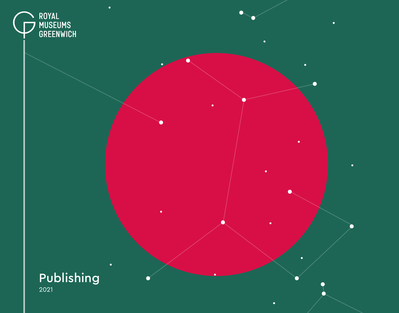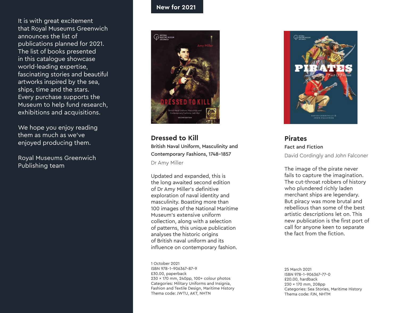It is with great excitement that Royal Museums Greenwich announces the list of publications planned for 2021. The list of books presented in this catalogue showcase world-leading expertise, fascinating stories and beautiful artworks inspired by the sea, ships, time and the stars. Every purchase supports the Museum to help fund research, exhibitions and acquisitions.

We hope you enjoy reading them as much as we've enjoyed producing them.

Royal Museums Greenwich Publishing team

## **New for 2021**



**Dressed to Kill**  British Naval Uniform, Masculinity and Contemporary Fashions, 1748–1857 Dr Amy Miller

Updated and expanded, this is the long awaited second edition of Dr Amy Miller's definitive exploration of naval identity and masculinity. Boasting more than 100 images of the National Maritime Museum's extensive uniform collection, along with a selection of patterns, this unique publication analyses the historic origins of British naval uniform and its influence on contemporary fashion.

1 October 2021 ISBN 978-1-906367-87-9 £30.00, paperback 230 x 170 mm, 240pp, 100+ colour photos Categories: Military Uniforms and Insignia. Fashion and Textile Design, Maritime History Thema code: JWTU, AKT, NHTN



**Pirates** Fact and Fiction David Cordingly and John Falconer

The image of the pirate never fails to capture the imagination. The cut-throat robbers of history who plundered richly laden merchant ships are legendary. But piracy was more brutal and rebellious than some of the best artistic descriptions let on. This new publication is the first port of call for anyone keen to separate the fact from the fiction.

25 March 2021 ISBN 978-1-906367-77-0 £20.00, hardback 230 x 170 mm, 208pp Categories: Sea Stories, Maritime History Thema code: FJN, NHTM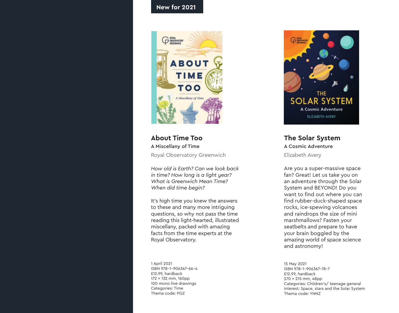## **New for 2021**



**About Time Too** A Miscellany of Time Royal Observatory Greenwich

*How old is Earth? Can we look back in time? How long is a light year? What is Greenwich Mean Time? When did time begin?* 

It's high time you knew the answers to these and many more intriguing questions, so why not pass the time reading this light-hearted, illustrated miscellany, packed with amazing facts from the time experts at the Royal Observatory.

1 April 2021 ISBN 978-1-906367-66-4 £12.99, hardback 172 x 132 mm, 160pp 100 mono line drawings Categories: Time Thema code: PGZ



#### **The Solar System** A Cosmic Adventure

Elizabeth Avery

Are you a super-massive space fan? Great! Let us take you on an adventure through the Solar System and BEYOND! Do you want to find out where you can find rubber-duck-shaped space rocks, ice-spewing volcanoes and raindrops the size of mini marshmallows? Fasten your seatbelts and prepare to have your brain boggled by the amazing world of space science and astronomy!

15 May 2021 ISBN 978-1-906367-78-7 £12.99, hardback 270 x 215 mm, 48pp Categories: Children's/ teenage general interest: Space, stars and the Solar System Thema code: YNNZ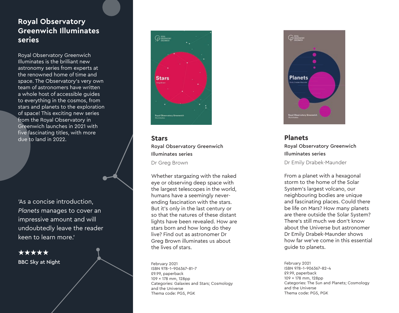# **Royal Observatory Greenwich Illuminates series**

Royal Observatory Greenwich Illuminates is the brilliant new astronomy series from experts at the renowned home of time and space. The Observatory's very own team of astronomers have written a whole host of accessible guides to everything in the cosmos, from stars and planets to the exploration of space! This exciting new series from the Royal Observatory in Greenwich launches in 2021 with five fascinating titles, with more due to land in 2022. **Stars** 

'As a concise introduction, *Planets* manages to cover an impressive amount and will undoubtedly leave the reader keen to learn more.'

★★★★★ BBC Sky at Night



Royal Observatory Greenwich Illuminates series Dr Greg Brown

Whether stargazing with the naked eye or observing deep space with the largest telescopes in the world, humans have a seemingly neverending fascination with the stars. But it's only in the last century or so that the natures of these distant lights have been revealed. How are stars born and how long do they live? Find out as astronomer Dr Greg Brown illuminates us about the lives of stars.

February 2021 ISBN 978-1-906367-81-7 £9.99, paperback 109 x 178 mm, 128pp Categories: Galaxies and Stars; Cosmology and the Universe Thema code: PGS, PGK



#### **Planets** Royal Observatory Greenwich Illuminates series

Dr Emily Drabek-Maunder

From a planet with a hexagonal storm to the home of the Solar System's largest volcano, our neighbouring bodies are unique and fascinating places. Could there be life on Mars? How many planets are there outside the Solar System? There's still much we don't know about the Universe but astronomer Dr Emily Drabek-Maunder shows how far we've come in this essential guide to planets.

February 2021 ISBN 978-1-906367-82-4 £9.99, paperback 109 x 178 mm, 128pp Categories: The Sun and Planets; Cosmology and the Universe Thema code: PGS, PGK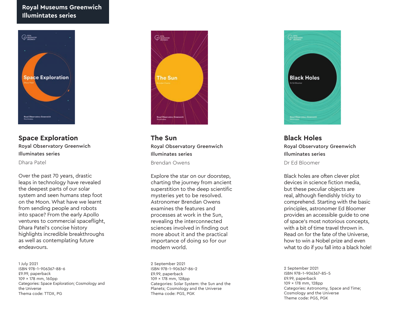#### **Royal Museums Greenwich Illumintates series**



## **Space Exploration**  Royal Observatory Greenwich Illuminates series

Dhara Patel

Over the past 70 years, drastic leaps in technology have revealed the deepest parts of our solar system and seen humans step foot on the Moon. What have we learnt from sending people and robots into space? From the early Apollo ventures to commercial spaceflight, Dhara Patel's concise history highlights incredible breakthroughs as well as contemplating future endeavours.

1 July 2021 ISBN 978-1-906367-88-6 £9.99, paperback 109 x 178 mm, 160pp Categories: Space Exploration; Cosmology and the Universe Thema code: TTDX, PG



**The Sun**  Royal Observatory Greenwich Illuminates series Brendan Owens

Explore the star on our doorstep, charting the journey from ancient superstition to the deep scientific mysteries yet to be resolved. Astronomer Brendan Owens examines the features and processes at work in the Sun, revealing the interconnected sciences involved in finding out more about it and the practical importance of doing so for our modern world.

2 September 2021 ISBN 978-1-906367-86-2 £9.99, paperback 109 x 178 mm, 128pp Categories: Solar System: the Sun and the Planets; Cosmology and the Universe Thema code: PGS, PGK



**Black Holes**  Royal Observatory Greenwich Illuminates series Dr Ed Bloomer

Black holes are often clever plot devices in science fiction media, but these peculiar objects are real, although fiendishly tricky to comprehend. Starting with the basic principles, astronomer Ed Bloomer provides an accessible guide to one of space's most notorious concepts, with a bit of time travel thrown in. Read on for the fate of the Universe, how to win a Nobel prize and even what to do if you fall into a black hole!

2 September 2021 ISBN 978-1-906367-85-5 £9.99, paperback 109 x 178 mm, 128pp Categories: Astronomy, Space and Time; Cosmology and the Universe Theme code: PGS, PGK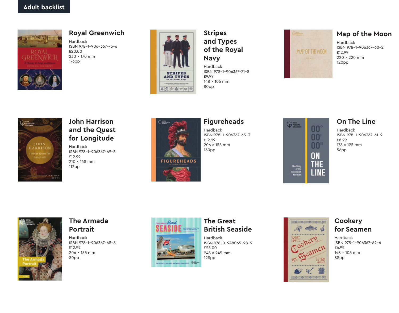

## **Royal Greenwich**

Hardback ISBN 978-1-906-367-75–6 £20.00 230 x 170 mm 176pp



## **Stripes and Types of the Royal Navy**

Hardback ISBN 978-1-906367-71-8 £9.99 148 x 105 mm 80pp

# MAP OF THE MOON

## **Map of the Moon**

Hardback ISBN 978-1-906367-60-2 £12.99 220 x 220 mm 120pp



## **John Harrison and the Quest for Longitude**

Hardback ISBN 978-1-906367-69-5 £12.99 210 x 148 mm 112pp



# **Figureheads**

Hardback ISBN 978-1-906367-63-3 £12.99 206 x 155 mm 160pp



# **On The Line**

Hardback ISBN 978-1-906367-61-9 £8.99 178 x 125 mm 56pp



## **The Armada Portrait**

Hardback ISBN 978-1-906367-68-8 £12.99 206 x 155 mm 80pp







100 0 100 0 100 0

## **Cookery for Seamen**

Hardback ISBN 978-1-906367-62-6 £6.99  $148 \times 105$  mm 88pp

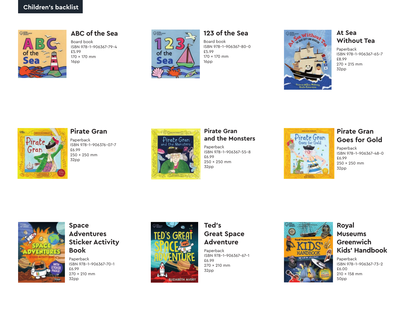

#### **ABC of the Sea**

Board book ISBN 978-1-906367-79-4 £5.99 170 x 170 mm 16pp



# **123 of the Sea**

Board book ISBN 978-1-906367-80-0 £5.99 170 x 170 mm 16pp



#### **At Sea Without Tea**

Paperback ISBN 978-1-906367-65-7 £8.99 270 x 215 mm 32pp



#### **Pirate Gran**

Paperback ISBN 978-1-906376-07-7 £6.99 250 x 250 mm 32pp



#### **Pirate Gran and the Monsters**

Paperback ISBN 978-1-906367-55-8 £6.99 250 x 250 mm 32pp



## **Pirate Gran Goes for Gold**

Paperback ISBN 978-1-906367-48-0 £6.99 250 x 250 mm 32pp



## **Space Adventures Sticker Activity Book**

Paperback ISBN 978-1-906367-70-1 £6.99 270 x 210 mm 32pp



## **Ted's Great Space Adventure**

Paperback ISBN 978-1-906367-67-1 £6.99 270 x 210 mm 32pp



## **Royal Museums Greenwich Kids' Handbook**

Paperback ISBN 978-1-906367-73-2 £6.00 210 x 158 mm 50pp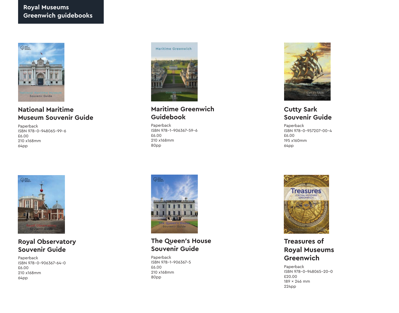#### **Royal Museums Greenwich guidebooks**



## **National Maritime Museum Souvenir Guide**

Paperback ISBN 978-0-948065-99-6 £6.00 210 x168mm 64pp



## **Royal Observatory Souvenir Guide**

Paperback ISBN 978-0-906367-64-0 £6.00 210 x168mm 64pp



## **Maritime Greenwich Guidebook**

Paperback ISBN 978-1-906367-59-6 £6.00 210 x168mm 80pp



## **The Queen's House Souvenir Guide**

Paperback ISBN 978-1-906367-5 £6.00 210 x168mm 80pp



## **Cutty Sark Souvenir Guide**

Paperback ISBN 978-0-957207-00-4 £6.00 195 x160mm 64pp



# **Treasures of Royal Museums Greenwich**

Paperback ISBN 978-0-948065-20-0 £20.00 189 x 246 mm 224pp